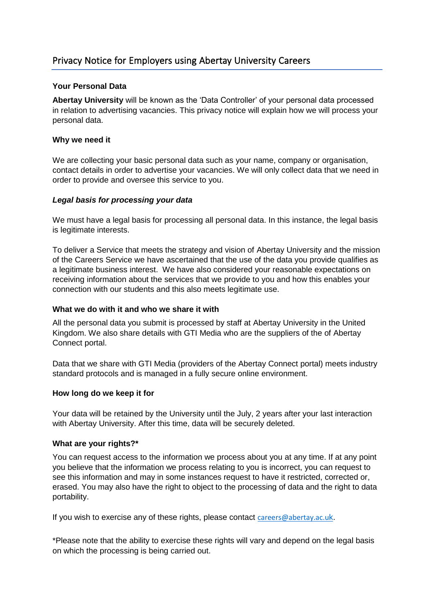## **Your Personal Data**

**Abertay University** will be known as the 'Data Controller' of your personal data processed in relation to advertising vacancies. This privacy notice will explain how we will process your personal data.

#### **Why we need it**

We are collecting your basic personal data such as your name, company or organisation, contact details in order to advertise your vacancies. We will only collect data that we need in order to provide and oversee this service to you.

### *Legal basis for processing your data*

We must have a legal basis for processing all personal data. In this instance, the legal basis is legitimate interests.

To deliver a Service that meets the strategy and vision of Abertay University and the mission of the Careers Service we have ascertained that the use of the data you provide qualifies as a legitimate business interest. We have also considered your reasonable expectations on receiving information about the services that we provide to you and how this enables your connection with our students and this also meets legitimate use.

#### **What we do with it and who we share it with**

All the personal data you submit is processed by staff at Abertay University in the United Kingdom. We also share details with GTI Media who are the suppliers of the of Abertay Connect portal.

Data that we share with GTI Media (providers of the Abertay Connect portal) meets industry standard protocols and is managed in a fully secure online environment.

#### **How long do we keep it for**

Your data will be retained by the University until the July, 2 years after your last interaction with Abertay University. After this time, data will be securely deleted.

#### **What are your rights?\***

You can request access to the information we process about you at any time. If at any point you believe that the information we process relating to you is incorrect, you can request to see this information and may in some instances request to have it restricted, corrected or, erased. You may also have the right to object to the processing of data and the right to data portability.

If you wish to exercise any of these rights, please contact [careers@abertay.ac.u](mailto:careers@abertay.ac.uk)k.

\*Please note that the ability to exercise these rights will vary and depend on the legal basis on which the processing is being carried out.